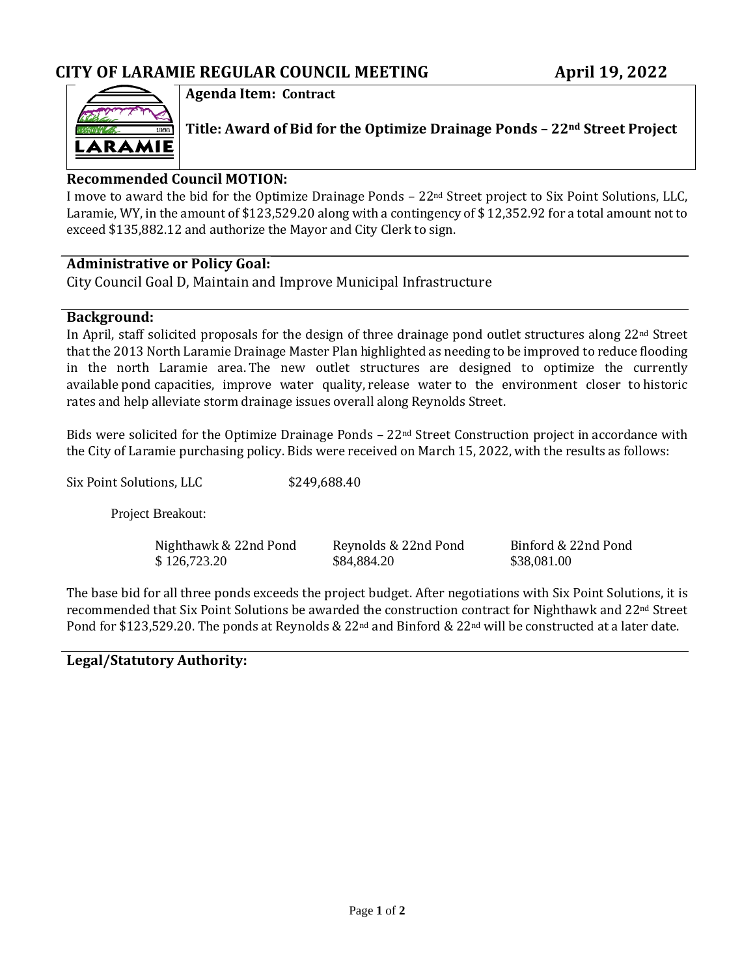

**Agenda Item: Contract**

**Title: Award of Bid for the Optimize Drainage Ponds – 22nd Street Project**

### **Recommended Council MOTION:**

I move to award the bid for the Optimize Drainage Ponds – 22nd Street project to Six Point Solutions, LLC, Laramie, WY, in the amount of \$123,529.20 along with a contingency of \$ 12,352.92 for a total amount not to exceed \$135,882.12 and authorize the Mayor and City Clerk to sign.

### **Administrative or Policy Goal:**

City Council Goal D, Maintain and Improve Municipal Infrastructure

### **Background:**

In April, staff solicited proposals for the design of three drainage pond outlet structures along 22nd Street that the 2013 North Laramie Drainage Master Plan highlighted as needing to be improved to reduce flooding in the north Laramie area. The new outlet structures are designed to optimize the currently available pond capacities, improve water quality, release water to the environment closer to historic rates and help alleviate storm drainage issues overall along Reynolds Street.

Bids were solicited for the Optimize Drainage Ponds  $-22<sup>nd</sup>$  Street Construction project in accordance with the City of Laramie purchasing policy. Bids were received on March 15, 2022, with the results as follows:

Six Point Solutions, LLC \$249,688.40

Project Breakout:

Nighthawk & 22nd Pond<br>
\$126,723.20 \$84,884.20 \$84,884.20 \$38,081.00  $$126,723.20$ 

The base bid for all three ponds exceeds the project budget. After negotiations with Six Point Solutions, it is recommended that Six Point Solutions be awarded the construction contract for Nighthawk and 22nd Street Pond for \$123,529.20. The ponds at Reynolds & 22<sup>nd</sup> and Binford & 22<sup>nd</sup> will be constructed at a later date.

### **Legal/Statutory Authority:**